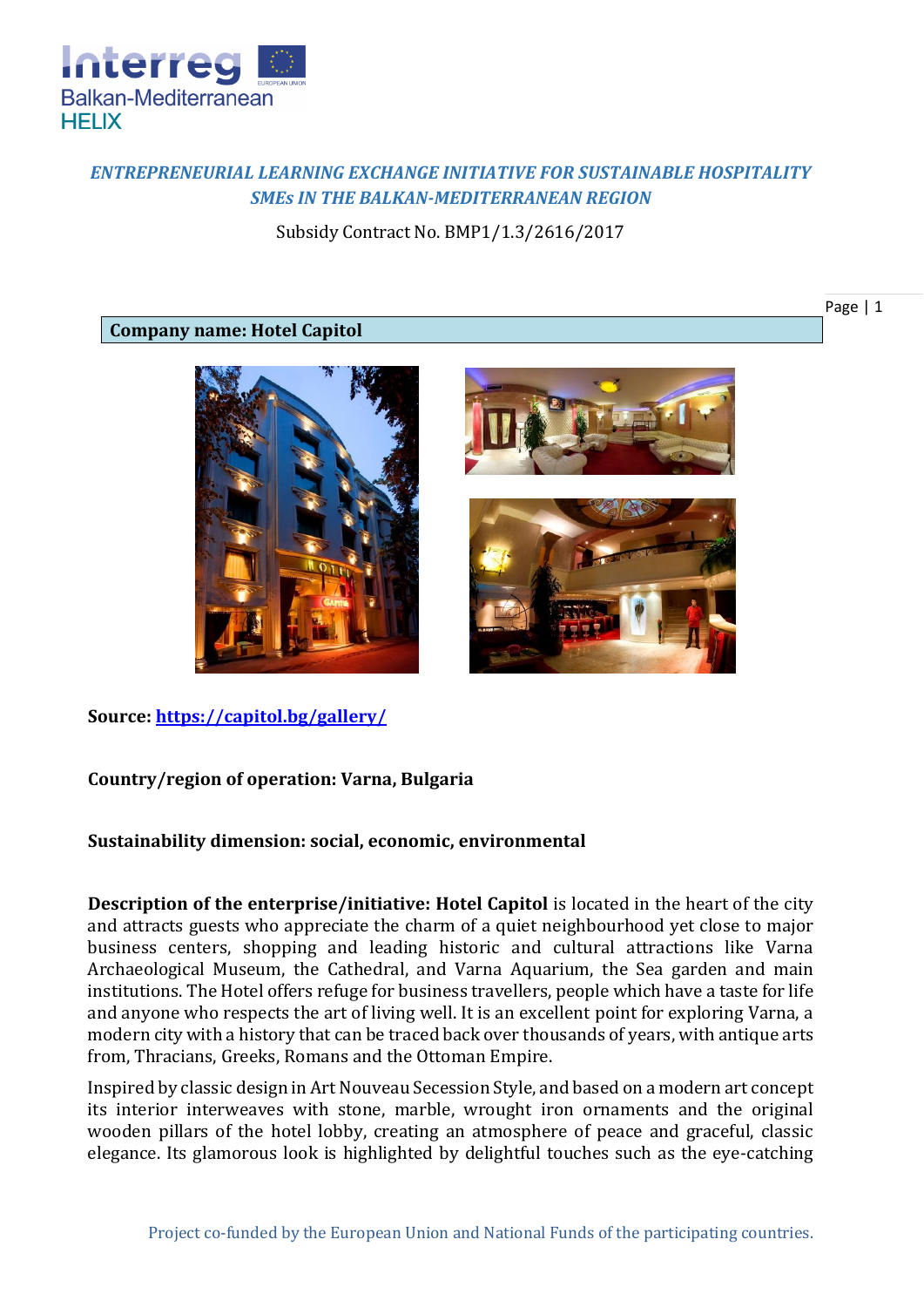

# *ENTREPRENEURIAL LEARNING EXCHANGE INITIATIVE FOR SUSTAINABLE HOSPITALITY SMEs IN THE BALKAN-MEDITERRANEAN REGION*

Subsidy Contract No. BMP1/1.3/2616/2017

## **Company name: Hotel Capitol**







**Source:<https://capitol.bg/gallery/>**

## **Country/region of operation: Varna, Bulgaria**

## **Sustainability dimension: social, economic, environmental**

**Description of the enterprise/initiative: Hotel Capitol** is located in the heart of the city and attracts guests who appreciate the charm of a quiet neighbourhood yet close to major business centers, shopping and leading historic and cultural attractions like Varna Archaeological Museum, the Cathedral, and Varna Aquarium, the Sea garden and main institutions. The Hotel offers refuge for business travellers, people which have a taste for life and anyone who respects the art of living well. It is an excellent point for exploring Varna, a modern city with a history that can be traced back over thousands of years, with antique arts from, Thracians, Greeks, Romans and the Ottoman Empire.

Inspired by classic design in Art Nouveau Secession Style, and based on a modern art concept its interior interweaves with stone, marble, wrought iron ornaments and the original wooden pillars of the hotel lobby, creating an atmosphere of peace and graceful, classic elegance. Its glamorous look is highlighted by delightful touches such as the eye-catching